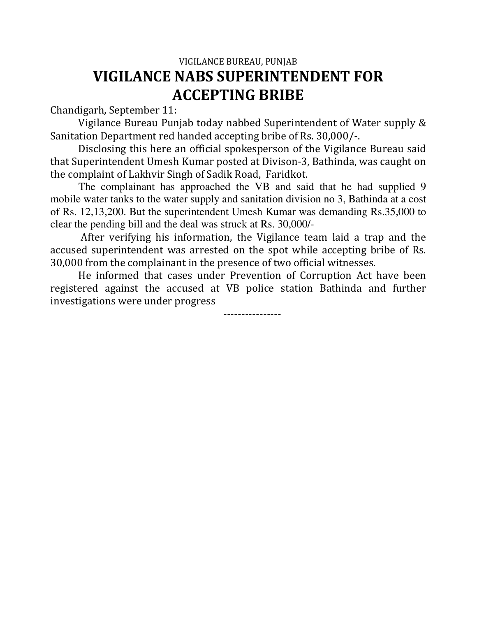## VIGILANCE BUREAU, PUNJAB **VIGILANCE NABS SUPERINTENDENT FOR ACCEPTING BRIBE**

Chandigarh, September 11:

Vigilance Bureau Punjab today nabbed Superintendent of Water supply & Sanitation Department red handed accepting bribe of Rs. 30,000/-.

Disclosing this here an official spokesperson of the Vigilance Bureau said that Superintendent Umesh Kumar posted at Divison-3, Bathinda, was caught on the complaint of Lakhvir Singh of Sadik Road, Faridkot.

The complainant has approached the VB and said that he had supplied 9 mobile water tanks to the water supply and sanitation division no 3, Bathinda at a cost of Rs. 12,13,200. But the superintendent Umesh Kumar was demanding Rs.35,000 to clear the pending bill and the deal was struck at Rs. 30,000/-

 After verifying his information, the Vigilance team laid a trap and the accused superintendent was arrested on the spot while accepting bribe of Rs. 30,000 from the complainant in the presence of two official witnesses.

He informed that cases under Prevention of Corruption Act have been registered against the accused at VB police station Bathinda and further investigations were under progress

----------------